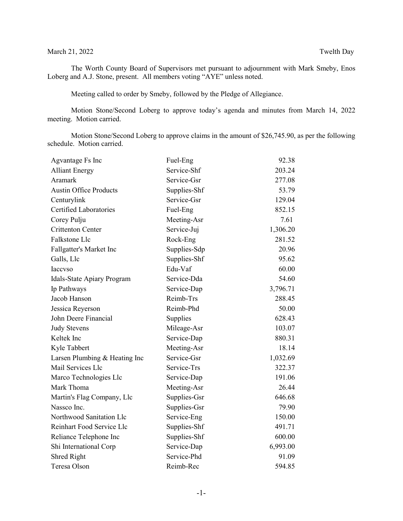## March 21, 2022 Twelth Day

The Worth County Board of Supervisors met pursuant to adjournment with Mark Smeby, Enos Loberg and A.J. Stone, present. All members voting "AYE" unless noted.

Meeting called to order by Smeby, followed by the Pledge of Allegiance.

Motion Stone/Second Loberg to approve today's agenda and minutes from March 14, 2022 meeting. Motion carried.

Motion Stone/Second Loberg to approve claims in the amount of \$26,745.90, as per the following schedule. Motion carried.

| Agvantage Fs Inc              | Fuel-Eng     | 92.38    |
|-------------------------------|--------------|----------|
| <b>Alliant Energy</b>         | Service-Shf  | 203.24   |
| Aramark                       | Service-Gsr  | 277.08   |
| <b>Austin Office Products</b> | Supplies-Shf | 53.79    |
| Centurylink                   | Service-Gsr  | 129.04   |
| <b>Certified Laboratories</b> | Fuel-Eng     | 852.15   |
| Corey Pulju                   | Meeting-Asr  | 7.61     |
| <b>Crittenton Center</b>      | Service-Juj  | 1,306.20 |
| Falkstone Llc                 | Rock-Eng     | 281.52   |
| Fallgatter's Market Inc       | Supplies-Sdp | 20.96    |
| Galls, Llc                    | Supplies-Shf | 95.62    |
| Iaccvso                       | Edu-Vaf      | 60.00    |
| Idals-State Apiary Program    | Service-Dda  | 54.60    |
| Ip Pathways                   | Service-Dap  | 3,796.71 |
| Jacob Hanson                  | Reimb-Trs    | 288.45   |
| Jessica Reyerson              | Reimb-Phd    | 50.00    |
| John Deere Financial          | Supplies     | 628.43   |
| <b>Judy Stevens</b>           | Mileage-Asr  | 103.07   |
| Keltek Inc                    | Service-Dap  | 880.31   |
| Kyle Tabbert                  | Meeting-Asr  | 18.14    |
| Larsen Plumbing & Heating Inc | Service-Gsr  | 1,032.69 |
| Mail Services Llc             | Service-Trs  | 322.37   |
| Marco Technologies Llc        | Service-Dap  | 191.06   |
| Mark Thoma                    | Meeting-Asr  | 26.44    |
| Martin's Flag Company, Llc    | Supplies-Gsr | 646.68   |
| Nassco Inc.                   | Supplies-Gsr | 79.90    |
| Northwood Sanitation Llc      | Service-Eng  | 150.00   |
| Reinhart Food Service Llc     | Supplies-Shf | 491.71   |
| Reliance Telephone Inc        | Supplies-Shf | 600.00   |
| Shi International Corp        | Service-Dap  | 6,993.00 |
| Shred Right                   | Service-Phd  | 91.09    |
| Teresa Olson                  | Reimb-Rec    | 594.85   |